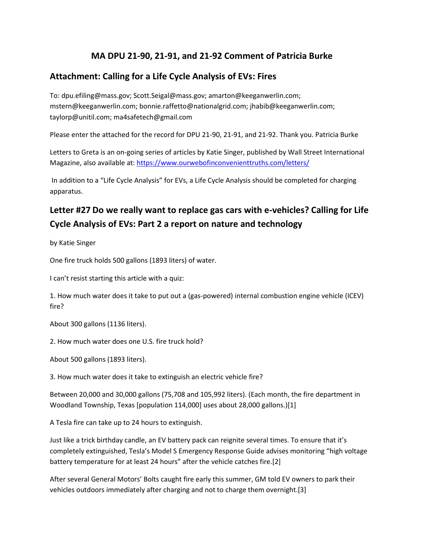## **MA DPU 21-90, 21-91, and 21-92 Comment of Patricia Burke**

## **Attachment: Calling for a Life Cycle Analysis of EVs: Fires**

To: dpu.efiling@mass.gov; Scott.Seigal@mass.gov; amarton@keeganwerlin.com; mstern@keeganwerlin.com; bonnie.raffetto@nationalgrid.com; jhabib@keeganwerlin.com; taylorp@unitil.com; ma4safetech@gmail.com

Please enter the attached for the record for DPU 21-90, 21-91, and 21-92. Thank you. Patricia Burke

Letters to Greta is an on-going series of articles by Katie Singer, published by Wall Street International Magazine, also available at:<https://www.ourwebofinconvenienttruths.com/letters/>

In addition to a "Life Cycle Analysis" for EVs, a Life Cycle Analysis should be completed for charging apparatus.

# **Letter #27 Do we really want to replace gas cars with e-vehicles? Calling for Life Cycle Analysis of EVs: Part 2 a report on nature and technology**

by Katie Singer

One fire truck holds 500 gallons (1893 liters) of water.

I can't resist starting this article with a quiz:

1. How much water does it take to put out a (gas-powered) internal combustion engine vehicle (ICEV) fire?

About 300 gallons (1136 liters).

2. How much water does one U.S. fire truck hold?

About 500 gallons (1893 liters).

3. How much water does it take to extinguish an electric vehicle fire?

Between 20,000 and 30,000 gallons (75,708 and 105,992 liters). (Each month, the fire department in Woodland Township, Texas [population 114,000] uses about 28,000 gallons.)[1]

A Tesla fire can take up to 24 hours to extinguish.

Just like a trick birthday candle, an EV battery pack can reignite several times. To ensure that it's completely extinguished, Tesla's Model S Emergency Response Guide advises monitoring "high voltage battery temperature for at least 24 hours" after the vehicle catches fire.[2]

After several General Motors' Bolts caught fire early this summer, GM told EV owners to park their vehicles outdoors immediately after charging and not to charge them overnight.[3]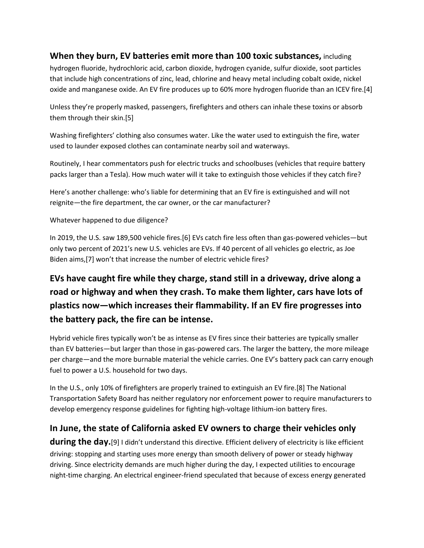### **When they burn, EV batteries emit more than 100 toxic substances,** including

hydrogen fluoride, hydrochloric acid, carbon dioxide, hydrogen cyanide, sulfur dioxide, soot particles that include high concentrations of zinc, lead, chlorine and heavy metal including cobalt oxide, nickel oxide and manganese oxide. An EV fire produces up to 60% more hydrogen fluoride than an ICEV fire.[4]

Unless they're properly masked, passengers, firefighters and others can inhale these toxins or absorb them through their skin.[5]

Washing firefighters' clothing also consumes water. Like the water used to extinguish the fire, water used to launder exposed clothes can contaminate nearby soil and waterways.

Routinely, I hear commentators push for electric trucks and schoolbuses (vehicles that require battery packs larger than a Tesla). How much water will it take to extinguish those vehicles if they catch fire?

Here's another challenge: who's liable for determining that an EV fire is extinguished and will not reignite—the fire department, the car owner, or the car manufacturer?

#### Whatever happened to due diligence?

In 2019, the U.S. saw 189,500 vehicle fires.[6] EVs catch fire less often than gas-powered vehicles—but only two percent of 2021's new U.S. vehicles are EVs. If 40 percent of all vehicles go electric, as Joe Biden aims,[7] won't that increase the number of electric vehicle fires?

# **EVs have caught fire while they charge, stand still in a driveway, drive along a road or highway and when they crash. To make them lighter, cars have lots of plastics now—which increases their flammability. If an EV fire progresses into the battery pack, the fire can be intense.**

Hybrid vehicle fires typically won't be as intense as EV fires since their batteries are typically smaller than EV batteries—but larger than those in gas-powered cars. The larger the battery, the more mileage per charge—and the more burnable material the vehicle carries. One EV's battery pack can carry enough fuel to power a U.S. household for two days.

In the U.S., only 10% of firefighters are properly trained to extinguish an EV fire.[8] The National Transportation Safety Board has neither regulatory nor enforcement power to require manufacturers to develop emergency response guidelines for fighting high-voltage lithium-ion battery fires.

### **In June, the state of California asked EV owners to charge their vehicles only**

**during the day.** [9] I didn't understand this directive. Efficient delivery of electricity is like efficient driving: stopping and starting uses more energy than smooth delivery of power or steady highway driving. Since electricity demands are much higher during the day, I expected utilities to encourage night-time charging. An electrical engineer-friend speculated that because of excess energy generated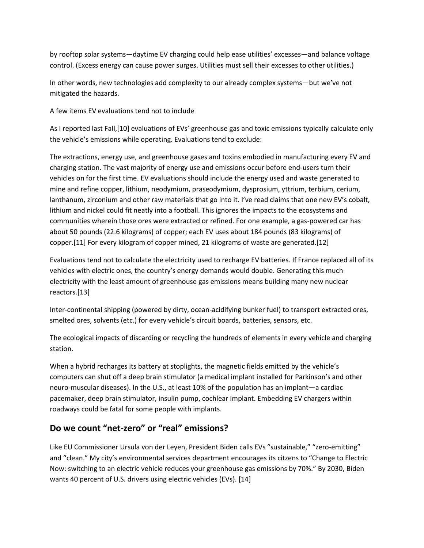by rooftop solar systems—daytime EV charging could help ease utilities' excesses—and balance voltage control. (Excess energy can cause power surges. Utilities must sell their excesses to other utilities.)

In other words, new technologies add complexity to our already complex systems—but we've not mitigated the hazards.

A few items EV evaluations tend not to include

As I reported last Fall,[10] evaluations of EVs' greenhouse gas and toxic emissions typically calculate only the vehicle's emissions while operating. Evaluations tend to exclude:

The extractions, energy use, and greenhouse gases and toxins embodied in manufacturing every EV and charging station. The vast majority of energy use and emissions occur before end-users turn their vehicles on for the first time. EV evaluations should include the energy used and waste generated to mine and refine copper, lithium, neodymium, praseodymium, dysprosium, yttrium, terbium, cerium, lanthanum, zirconium and other raw materials that go into it. I've read claims that one new EV's cobalt, lithium and nickel could fit neatly into a football. This ignores the impacts to the ecosystems and communities wherein those ores were extracted or refined. For one example, a gas-powered car has about 50 pounds (22.6 kilograms) of copper; each EV uses about 184 pounds (83 kilograms) of copper.[11] For every kilogram of copper mined, 21 kilograms of waste are generated.[12]

Evaluations tend not to calculate the electricity used to recharge EV batteries. If France replaced all of its vehicles with electric ones, the country's energy demands would double. Generating this much electricity with the least amount of greenhouse gas emissions means building many new nuclear reactors.[13]

Inter-continental shipping (powered by dirty, ocean-acidifying bunker fuel) to transport extracted ores, smelted ores, solvents (etc.) for every vehicle's circuit boards, batteries, sensors, etc.

The ecological impacts of discarding or recycling the hundreds of elements in every vehicle and charging station.

When a hybrid recharges its battery at stoplights, the magnetic fields emitted by the vehicle's computers can shut off a deep brain stimulator (a medical implant installed for Parkinson's and other neuro-muscular diseases). In the U.S., at least 10% of the population has an implant—a cardiac pacemaker, deep brain stimulator, insulin pump, cochlear implant. Embedding EV chargers within roadways could be fatal for some people with implants.

## **Do we count "net-zero" or "real" emissions?**

Like EU Commissioner Ursula von der Leyen, President Biden calls EVs "sustainable," "zero-emitting" and "clean." My city's environmental services department encourages its citzens to "Change to Electric Now: switching to an electric vehicle reduces your greenhouse gas emissions by 70%." By 2030, Biden wants 40 percent of U.S. drivers using electric vehicles (EVs). [14]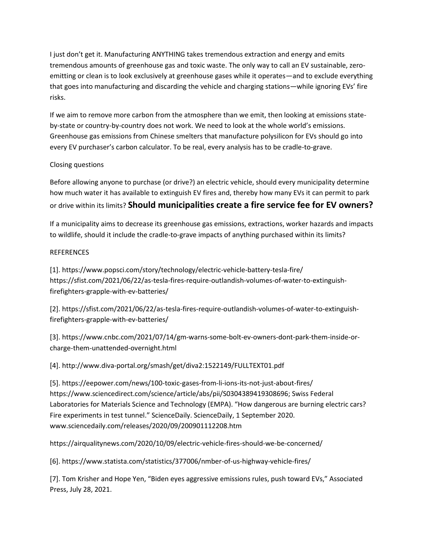I just don't get it. Manufacturing ANYTHING takes tremendous extraction and energy and emits tremendous amounts of greenhouse gas and toxic waste. The only way to call an EV sustainable, zeroemitting or clean is to look exclusively at greenhouse gases while it operates—and to exclude everything that goes into manufacturing and discarding the vehicle and charging stations—while ignoring EVs' fire risks.

If we aim to remove more carbon from the atmosphere than we emit, then looking at emissions stateby-state or country-by-country does not work. We need to look at the whole world's emissions. Greenhouse gas emissions from Chinese smelters that manufacture polysilicon for EVs should go into every EV purchaser's carbon calculator. To be real, every analysis has to be cradle-to-grave.

#### Closing questions

Before allowing anyone to purchase (or drive?) an electric vehicle, should every municipality determine how much water it has available to extinguish EV fires and, thereby how many EVs it can permit to park or drive within its limits? **Should municipalities create a fire service fee for EV owners?**

If a municipality aims to decrease its greenhouse gas emissions, extractions, worker hazards and impacts to wildlife, should it include the cradle-to-grave impacts of anything purchased within its limits?

### **REFERENCES**

[1]. https://www.popsci.com/story/technology/electric-vehicle-battery-tesla-fire/ https://sfist.com/2021/06/22/as-tesla-fires-require-outlandish-volumes-of-water-to-extinguishfirefighters-grapple-with-ev-batteries/

[2]. https://sfist.com/2021/06/22/as-tesla-fires-require-outlandish-volumes-of-water-to-extinguishfirefighters-grapple-with-ev-batteries/

[3]. https://www.cnbc.com/2021/07/14/gm-warns-some-bolt-ev-owners-dont-park-them-inside-orcharge-them-unattended-overnight.html

[4]. http://www.diva-portal.org/smash/get/diva2:1522149/FULLTEXT01.pdf

[5]. https://eepower.com/news/100-toxic-gases-from-li-ions-its-not-just-about-fires/ https://www.sciencedirect.com/science/article/abs/pii/S0304389419308696; Swiss Federal Laboratories for Materials Science and Technology (EMPA). "How dangerous are burning electric cars? Fire experiments in test tunnel." ScienceDaily. ScienceDaily, 1 September 2020. www.sciencedaily.com/releases/2020/09/200901112208.htm

https://airqualitynews.com/2020/10/09/electric-vehicle-fires-should-we-be-concerned/

[6]. https://www.statista.com/statistics/377006/nmber-of-us-highway-vehicle-fires/

[7]. Tom Krisher and Hope Yen, "Biden eyes aggressive emissions rules, push toward EVs," Associated Press, July 28, 2021.